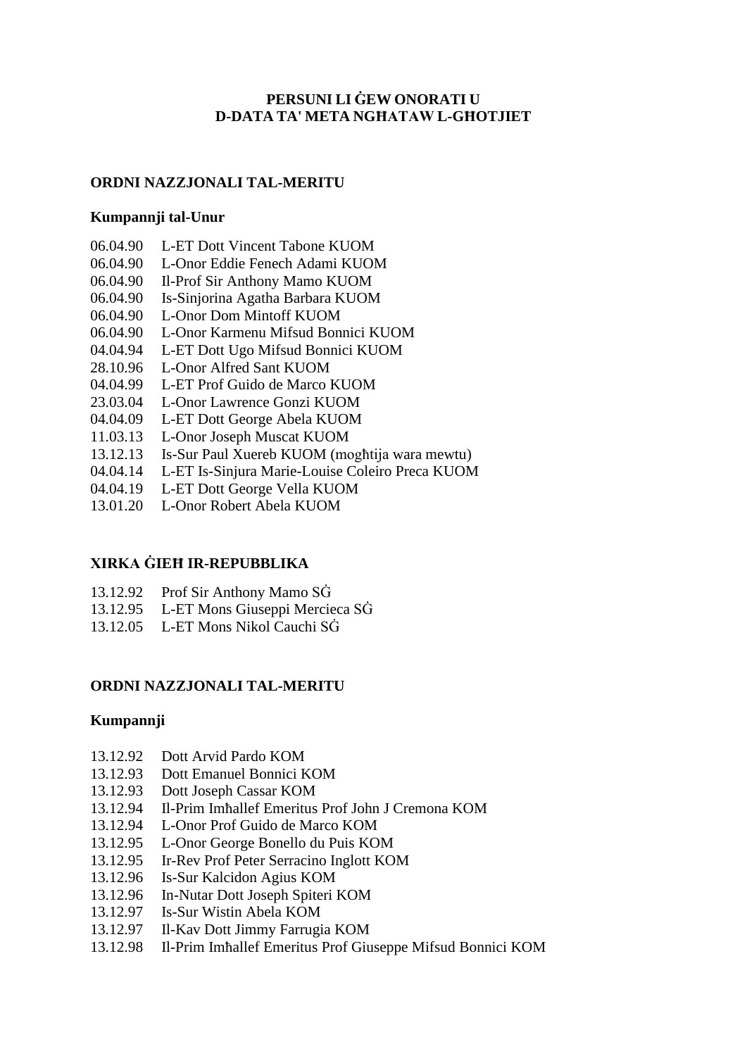# **PERSUNI LI ĠEW ONORATI U D-DATA TA' META NGĦATAW L-GĦOTJIET**

# **ORDNI NAZZJONALI TAL-MERITU**

### **Kumpannji tal-Unur**

- 06.04.90 L-ET Dott Vincent Tabone KUOM
- 06.04.90 L-Onor Eddie Fenech Adami KUOM
- 06.04.90 Il-Prof Sir Anthony Mamo KUOM
- 06.04.90 Is-Sinjorina Agatha Barbara KUOM
- 06.04.90 L-Onor Dom Mintoff KUOM
- 06.04.90 L-Onor Karmenu Mifsud Bonnici KUOM
- 04.04.94 L-ET Dott Ugo Mifsud Bonnici KUOM
- 28.10.96 L-Onor Alfred Sant KUOM
- 04.04.99 L-ET Prof Guido de Marco KUOM
- 23.03.04 L-Onor Lawrence Gonzi KUOM
- 04.04.09 L-ET Dott George Abela KUOM
- 11.03.13 L-Onor Joseph Muscat KUOM
- 13.12.13 Is-Sur Paul Xuereb KUOM (mogħtija wara mewtu)
- 04.04.14 L-ET Is-Sinjura Marie-Louise Coleiro Preca KUOM
- 04.04.19 L-ET Dott George Vella KUOM
- 13.01.20 L-Onor Robert Abela KUOM

# **XIRKA ĠIEĦ IR-REPUBBLIKA**

- 13.12.92 Prof Sir Anthony Mamo SĠ
- 13.12.95 L-ET Mons Giuseppi Mercieca SĠ
- 13.12.05 L-ET Mons Nikol Cauchi SĠ

# **ORDNI NAZZJONALI TAL-MERITU**

#### **Kumpannji**

- 13.12.92 Dott Arvid Pardo KOM
- 13.12.93 Dott Emanuel Bonnici KOM
- 13.12.93 Dott Joseph Cassar KOM
- 13.12.94 Il-Prim Imħallef Emeritus Prof John J Cremona KOM
- 13.12.94 L-Onor Prof Guido de Marco KOM
- 13.12.95 L-Onor George Bonello du Puis KOM
- 13.12.95 Ir-Rev Prof Peter Serracino Inglott KOM
- 13.12.96 Is-Sur Kalcidon Agius KOM
- 13.12.96 In-Nutar Dott Joseph Spiteri KOM
- 13.12.97 Is-Sur Wistin Abela KOM
- 13.12.97 Il-Kav Dott Jimmy Farrugia KOM
- 13.12.98 Il-Prim Imħallef Emeritus Prof Giuseppe Mifsud Bonnici KOM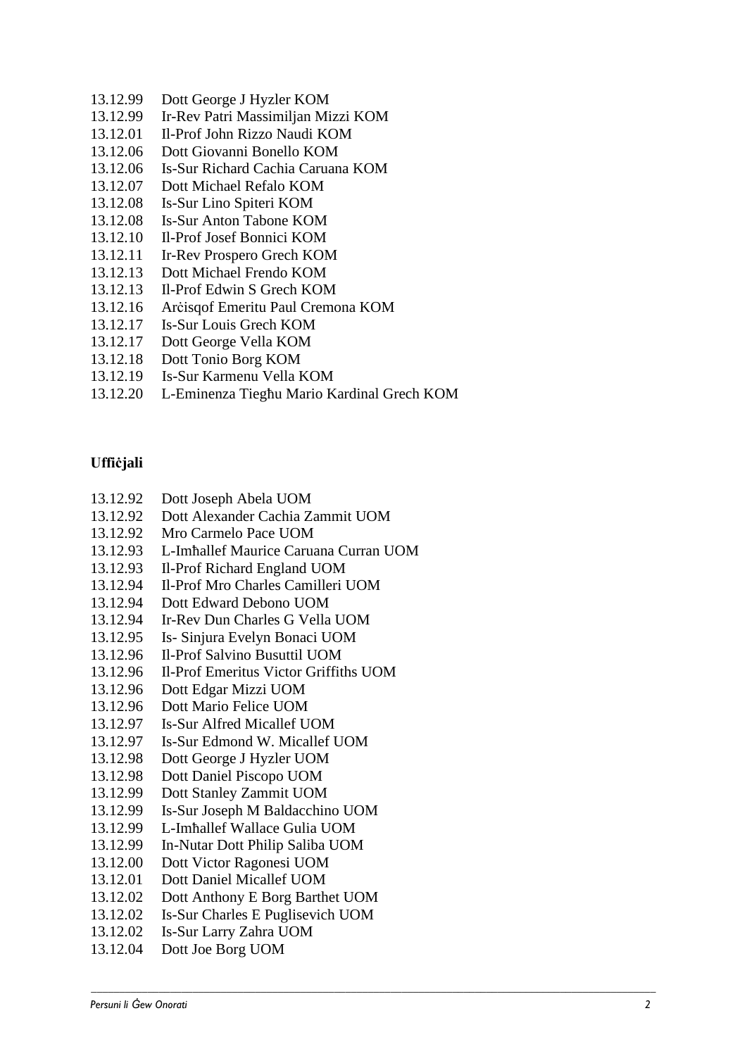- 13.12.99 Dott George J Hyzler KOM
- 13.12.99 Ir-Rev Patri Massimiljan Mizzi KOM
- 13.12.01 Il-Prof John Rizzo Naudi KOM
- 13.12.06 Dott Giovanni Bonello KOM
- 13.12.06 Is-Sur Richard Cachia Caruana KOM
- 13.12.07 Dott Michael Refalo KOM
- 13.12.08 Is-Sur Lino Spiteri KOM
- 13.12.08 Is-Sur Anton Tabone KOM
- 13.12.10 Il-Prof Josef Bonnici KOM
- 13.12.11 Ir-Rev Prospero Grech KOM
- 13.12.13 Dott Michael Frendo KOM
- 13.12.13 Il-Prof Edwin S Grech KOM
- 13.12.16 Arċisqof Emeritu Paul Cremona KOM
- 13.12.17 Is-Sur Louis Grech KOM
- 13.12.17 Dott George Vella KOM
- 13.12.18 Dott Tonio Borg KOM
- 13.12.19 Is-Sur Karmenu Vella KOM
- 13.12.20 L-Eminenza Tiegħu Mario Kardinal Grech KOM

### **Uffiċjali**

- 13.12.92 Dott Joseph Abela UOM
- 13.12.92 Dott Alexander Cachia Zammit UOM
- 13.12.92 Mro Carmelo Pace UOM
- 13.12.93 L-Imħallef Maurice Caruana Curran UOM
- 13.12.93 Il-Prof Richard England UOM
- 13.12.94 Il-Prof Mro Charles Camilleri UOM
- 13.12.94 Dott Edward Debono UOM
- 13.12.94 Ir-Rev Dun Charles G Vella UOM
- 13.12.95 Is- Sinjura Evelyn Bonaci UOM
- 13.12.96 Il-Prof Salvino Busuttil UOM
- 13.12.96 Il-Prof Emeritus Victor Griffiths UOM
- 13.12.96 Dott Edgar Mizzi UOM
- 13.12.96 Dott Mario Felice UOM
- 13.12.97 Is-Sur Alfred Micallef UOM
- 13.12.97 Is-Sur Edmond W. Micallef UOM
- 13.12.98 Dott George J Hyzler UOM
- 13.12.98 Dott Daniel Piscopo UOM
- 13.12.99 Dott Stanley Zammit UOM
- 13.12.99 Is-Sur Joseph M Baldacchino UOM
- 13.12.99 L-Imħallef Wallace Gulia UOM
- 13.12.99 In-Nutar Dott Philip Saliba UOM
- 13.12.00 Dott Victor Ragonesi UOM
- 13.12.01 Dott Daniel Micallef UOM
- 13.12.02 Dott Anthony E Borg Barthet UOM
- 13.12.02 Is-Sur Charles E Puglisevich UOM

- 13.12.02 Is-Sur Larry Zahra UOM
- 13.12.04 Dott Joe Borg UOM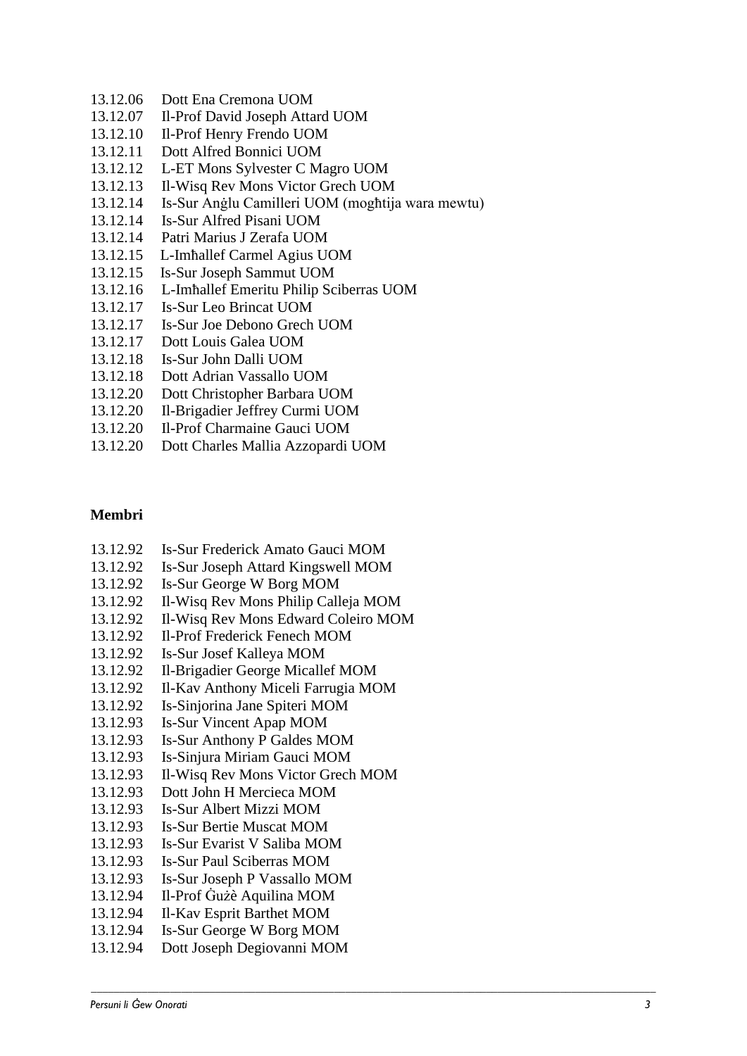- 13.12.06 Dott Ena Cremona UOM
- 13.12.07 Il-Prof David Joseph Attard UOM
- 13.12.10 Il-Prof Henry Frendo UOM
- 13.12.11 Dott Alfred Bonnici UOM
- 13.12.12 L-ET Mons Sylvester C Magro UOM
- 13.12.13 Il-Wisq Rev Mons Victor Grech UOM
- 13.12.14 Is-Sur Anġlu Camilleri UOM (mogħtija wara mewtu)
- 13.12.14 Is-Sur Alfred Pisani UOM
- 13.12.14 Patri Marius J Zerafa UOM
- 13.12.15 L-Imħallef Carmel Agius UOM
- 13.12.15 Is-Sur Joseph Sammut UOM
- 13.12.16 L-Imħallef Emeritu Philip Sciberras UOM
- 13.12.17 Is-Sur Leo Brincat UOM
- 13.12.17 Is-Sur Joe Debono Grech UOM
- 13.12.17 Dott Louis Galea UOM
- 13.12.18 Is-Sur John Dalli UOM
- 13.12.18 Dott Adrian Vassallo UOM
- 13.12.20 Dott Christopher Barbara UOM
- 13.12.20 Il-Brigadier Jeffrey Curmi UOM
- 13.12.20 Il-Prof Charmaine Gauci UOM
- 13.12.20 Dott Charles Mallia Azzopardi UOM

#### **Membri**

- 13.12.92 Is-Sur Frederick Amato Gauci MOM
- 13.12.92 Is-Sur Joseph Attard Kingswell MOM
- 13.12.92 Is-Sur George W Borg MOM
- 13.12.92 Il-Wisq Rev Mons Philip Calleja MOM
- 13.12.92 Il-Wisq Rev Mons Edward Coleiro MOM
- 13.12.92 Il-Prof Frederick Fenech MOM
- 13.12.92 Is-Sur Josef Kalleya MOM
- 13.12.92 Il-Brigadier George Micallef MOM
- 13.12.92 Il-Kav Anthony Miceli Farrugia MOM
- 13.12.92 Is-Sinjorina Jane Spiteri MOM
- 13.12.93 Is-Sur Vincent Apap MOM
- 13.12.93 Is-Sur Anthony P Galdes MOM
- 13.12.93 Is-Sinjura Miriam Gauci MOM
- 13.12.93 Il-Wisq Rev Mons Victor Grech MOM
- 13.12.93 Dott John H Mercieca MOM
- 13.12.93 Is-Sur Albert Mizzi MOM
- 13.12.93 Is-Sur Bertie Muscat MOM
- 13.12.93 Is-Sur Evarist V Saliba MOM
- 13.12.93 Is-Sur Paul Sciberras MOM
- 13.12.93 Is-Sur Joseph P Vassallo MOM
- 13.12.94 Il-Prof Ġużè Aquilina MOM
- 13.12.94 Il-Kav Esprit Barthet MOM
- 13.12.94 Is-Sur George W Borg MOM
- 13.12.94 Dott Joseph Degiovanni MOM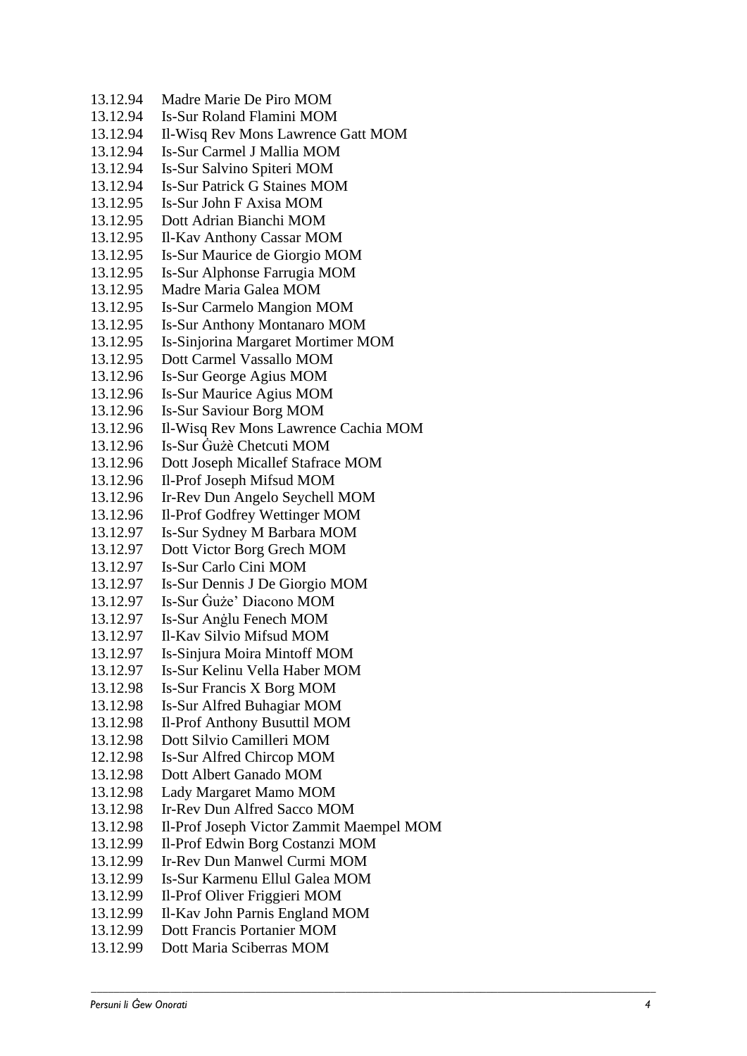| 13.12.94 | Madre Marie De Piro MOM                  |
|----------|------------------------------------------|
| 13.12.94 | <b>Is-Sur Roland Flamini MOM</b>         |
| 13.12.94 | Il-Wisq Rev Mons Lawrence Gatt MOM       |
| 13.12.94 | Is-Sur Carmel J Mallia MOM               |
| 13.12.94 | Is-Sur Salvino Spiteri MOM               |
| 13.12.94 | <b>Is-Sur Patrick G Staines MOM</b>      |
| 13.12.95 | Is-Sur John F Axisa MOM                  |
| 13.12.95 | Dott Adrian Bianchi MOM                  |
| 13.12.95 | Il-Kav Anthony Cassar MOM                |
| 13.12.95 | Is-Sur Maurice de Giorgio MOM            |
| 13.12.95 | Is-Sur Alphonse Farrugia MOM             |
| 13.12.95 | Madre Maria Galea MOM                    |
| 13.12.95 | <b>Is-Sur Carmelo Mangion MOM</b>        |
| 13.12.95 | <b>Is-Sur Anthony Montanaro MOM</b>      |
| 13.12.95 | Is-Sinjorina Margaret Mortimer MOM       |
| 13.12.95 | Dott Carmel Vassallo MOM                 |
| 13.12.96 | Is-Sur George Agius MOM                  |
| 13.12.96 | <b>Is-Sur Maurice Agius MOM</b>          |
| 13.12.96 | <b>Is-Sur Saviour Borg MOM</b>           |
| 13.12.96 | Il-Wisq Rev Mons Lawrence Cachia MOM     |
| 13.12.96 | Is-Sur Guzè Chetcuti MOM                 |
| 13.12.96 | Dott Joseph Micallef Stafrace MOM        |
| 13.12.96 | Il-Prof Joseph Mifsud MOM                |
| 13.12.96 | Ir-Rev Dun Angelo Seychell MOM           |
| 13.12.96 | Il-Prof Godfrey Wettinger MOM            |
| 13.12.97 | Is-Sur Sydney M Barbara MOM              |
| 13.12.97 | Dott Victor Borg Grech MOM               |
| 13.12.97 | Is-Sur Carlo Cini MOM                    |
| 13.12.97 | Is-Sur Dennis J De Giorgio MOM           |
| 13.12.97 | Is-Sur Guże' Diacono MOM                 |
| 13.12.97 | Is-Sur Anglu Fenech MOM                  |
| 13.12.97 | Il-Kav Silvio Mifsud MOM                 |
| 13.12.97 | Is-Sinjura Moira Mintoff MOM             |
| 13.12.97 | Is-Sur Kelinu Vella Haber MOM            |
| 13.12.98 | Is-Sur Francis X Borg MOM                |
| 13.12.98 | Is-Sur Alfred Buhagiar MOM               |
| 13.12.98 | <b>Il-Prof Anthony Busuttil MOM</b>      |
| 13.12.98 | Dott Silvio Camilleri MOM                |
| 12.12.98 | Is-Sur Alfred Chircop MOM                |
| 13.12.98 | Dott Albert Ganado MOM                   |
| 13.12.98 | Lady Margaret Mamo MOM                   |
| 13.12.98 | Ir-Rev Dun Alfred Sacco MOM              |
| 13.12.98 | Il-Prof Joseph Victor Zammit Maempel MOM |
| 13.12.99 | Il-Prof Edwin Borg Costanzi MOM          |
| 13.12.99 | Ir-Rev Dun Manwel Curmi MOM              |
| 13.12.99 | Is-Sur Karmenu Ellul Galea MOM           |
| 13.12.99 | Il-Prof Oliver Friggieri MOM             |
| 13.12.99 | Il-Kav John Parnis England MOM           |
| 13.12.99 | Dott Francis Portanier MOM               |
| 13.12.99 | Dott Maria Sciberras MOM                 |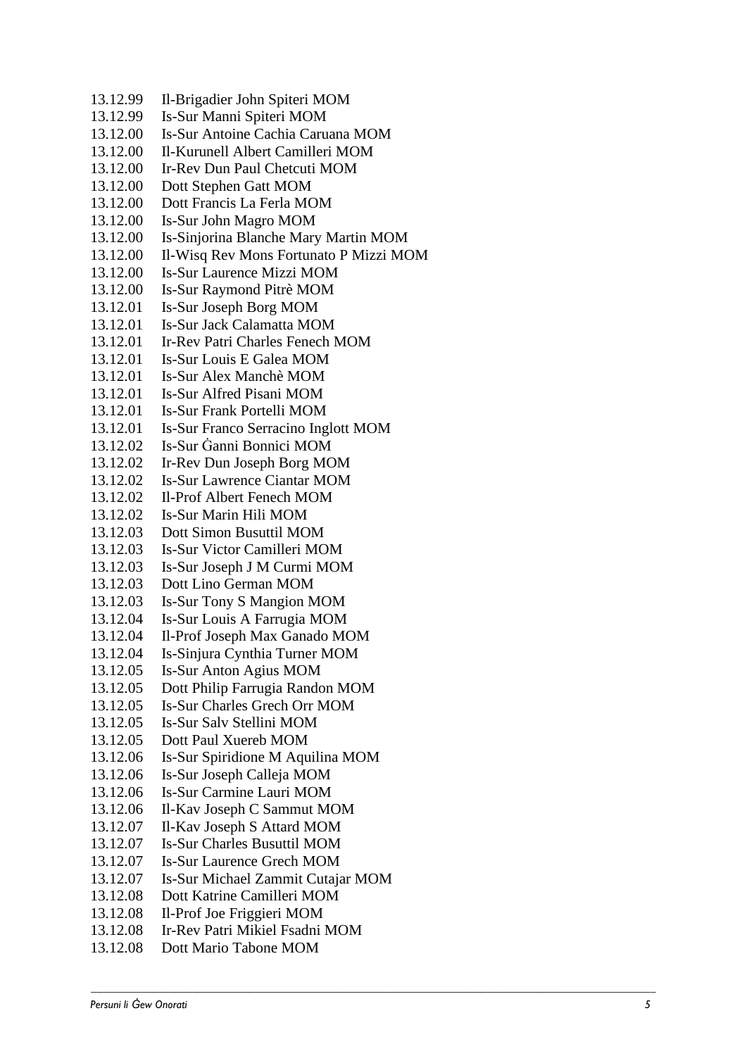13.12.99 -Brigadier John Spiteri MOM 13.12.99 -Sur Manni Spiteri MOM  $13.12.00$ -Sur Antoine Cachia Caruana MOM  $13.12.00$ -Kurunell Albert Camilleri MOM 13.12.00 -Rev Dun Paul Chetcuti MOM 13.12.00 Dott Stephen Gatt MOM 13.12.00 Dott Francis La Ferla MOM  $13.12.00$ Is-Sur John Magro MOM 13.12.00 -Sinjorina Blanche Mary Martin MOM 13.12.00 -Wisq Rev Mons Fortunato P Mizzi MOM  $13.12.00$ -Sur Laurence Mizzi MOM 13.12.00 Is-Sur Raymond Pitrè MOM  $13.12.01$ -Sur Joseph Borg MOM  $13.12.01$ -Sur Jack Calamatta MOM  $13.12.01$ -Rev Patri Charles Fenech MOM  $13.12.01$ -Sur Louis E Galea MOM 13.12.01 Is-Sur Alex Manchè MOM  $13.12.01$ -Sur Alfred Pisani MOM  $13.12.01$ -Sur Frank Portelli MOM 13.12.01 -Sur Franco Serracino Inglott MOM 13.12.02 -Sur Ġanni Bonnici MOM 13.12.02 -Rev Dun Joseph Borg MOM  $13.12.02$ -Sur Lawrence Ciantar MOM 13.12.02 -Prof Albert Fenech MOM 13.12.02 Is-Sur Marin Hili MOM 13.12.03 Dott Simon Busuttil MOM  $13.12.03$ -Sur Victor Camilleri MOM  $13.12.03$ - Sur Joseph J M Curmi MOM 13.12.03 Dott Lino German MOM 13.12.03 - Sur Tony S Mangion MOM  $13.12.04$ - Sur Louis A Farrugia MOM 13.12.04 -Prof Joseph Max Ganado MOM  $13.12.04$ -Sinjura Cynthia Turner MOM 13.12.05 -Sur Anton Agius MOM 13.12.05 Dott Philip Farrugia Randon MOM 13.12.05 -Sur Charles Grech Orr MOM  $13.12.05$ -Sur Salv Stellini MOM 13.12.05 Dott Paul Xuereb MOM 13.12.06 Is-Sur Spiridione M Aquilina MOM 13.12.06 -Sur Joseph Calleja MOM  $13.12.06$ -Sur Carmine Lauri MOM 13.12.06 -Kav Joseph C Sammut MOM 13.12.07 -Kav Joseph S Attard MOM 13.12.07 -Sur Charles Busuttil MOM 13.12.07 -Sur Laurence Grech MOM 13.12.07 -Sur Michael Zammit Cutajar MOM 13.12.08 Dott Katrine Camilleri MOM 13.12.08 -Prof Joe Friggieri MOM 13.12.08 -Rev Patri Mikiel Fsadni MO M 13.12.08 Dott Mario Tabone MOM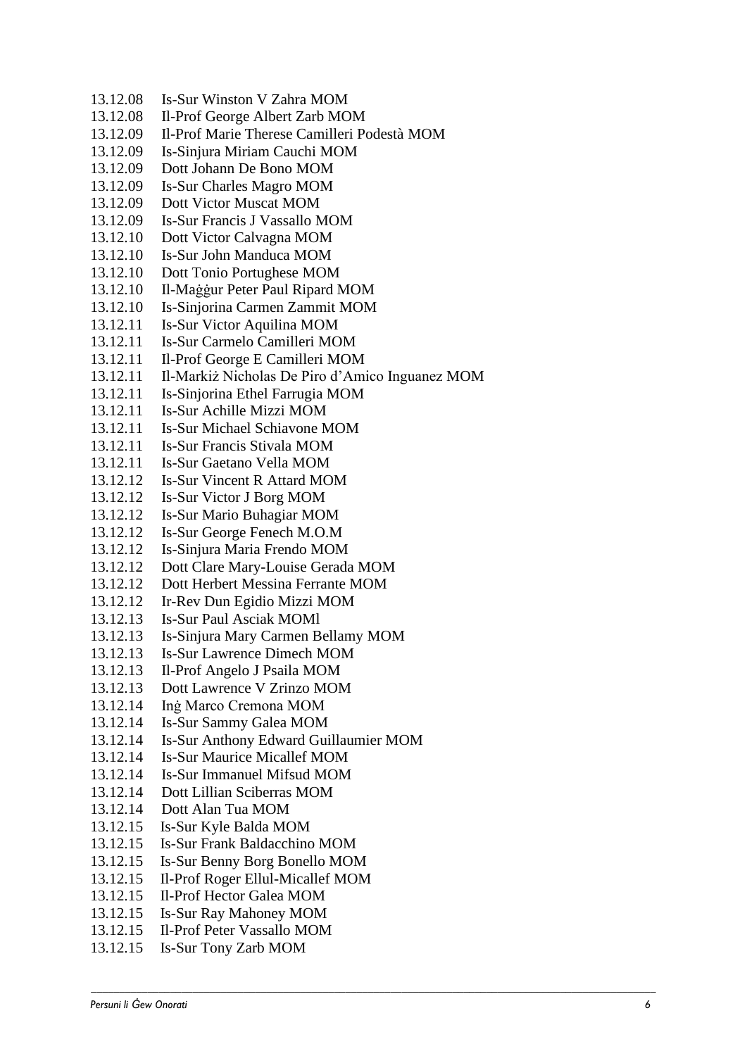13.12.08 Is-Sur Winston V Zahra MOM 13.12.08 Il-Prof George Albert Zarb MOM 13.12.09 Il-Prof Marie Therese Camilleri Podestà MOM 13.12.09 Is-Sinjura Miriam Cauchi MOM 13.12.09 Dott Johann De Bono MOM 13.12.09 Is-Sur Charles Magro MOM 13.12.09 Dott Victor Muscat MOM 13.12.09 Is-Sur Francis J Vassallo MOM 13.12.10 Dott Victor Calvagna MOM 13.12.10 Is-Sur John Manduca MOM 13.12.10 Dott Tonio Portughese MOM 13.12.10 Il-Maġġur Peter Paul Ripard MOM 13.12.10 Is-Sinjorina Carmen Zammit MOM 13.12.11 Is-Sur Victor Aquilina MOM 13.12.11 Is-Sur Carmelo Camilleri MOM 13.12.11 Il-Prof George E Camilleri MOM 13.12.11 Il-Markiż Nicholas De Piro d'Amico Inguanez MOM 13.12.11 Is-Sinjorina Ethel Farrugia MOM 13.12.11 Is-Sur Achille Mizzi MOM 13.12.11 Is-Sur Michael Schiavone MOM 13.12.11 Is-Sur Francis Stivala MOM 13.12.11 Is-Sur Gaetano Vella MOM 13.12.12 Is-Sur Vincent R Attard MOM 13.12.12 Is-Sur Victor J Borg MOM 13.12.12 Is-Sur Mario Buhagiar MOM 13.12.12 Is-Sur George Fenech M.O.M 13.12.12 Is-Sinjura Maria Frendo MOM 13.12.12 Dott Clare Mary-Louise Gerada MOM 13.12.12 Dott Herbert Messina Ferrante MOM 13.12.12 Ir-Rev Dun Egidio Mizzi MOM 13.12.13 Is-Sur Paul Asciak MOMl 13.12.13 Is-Sinjura Mary Carmen Bellamy MOM 13.12.13 Is-Sur Lawrence Dimech MOM 13.12.13 Il-Prof Angelo J Psaila MOM 13.12.13 Dott Lawrence V Zrinzo MOM 13.12.14 Inġ Marco Cremona MOM 13.12.14 Is-Sur Sammy Galea MOM 13.12.14 Is-Sur Anthony Edward Guillaumier MOM 13.12.14 Is-Sur Maurice Micallef MOM 13.12.14 Is-Sur Immanuel Mifsud MOM 13.12.14 Dott Lillian Sciberras MOM 13.12.14 Dott Alan Tua MOM 13.12.15 Is-Sur Kyle Balda MOM 13.12.15 Is-Sur Frank Baldacchino MOM 13.12.15 Is-Sur Benny Borg Bonello MOM 13.12.15 Il-Prof Roger Ellul-Micallef MOM 13.12.15 Il-Prof Hector Galea MOM 13.12.15 Is-Sur Ray Mahoney MOM 13.12.15 Il-Prof Peter Vassallo MOM 13.12.15 Is-Sur Tony Zarb MOM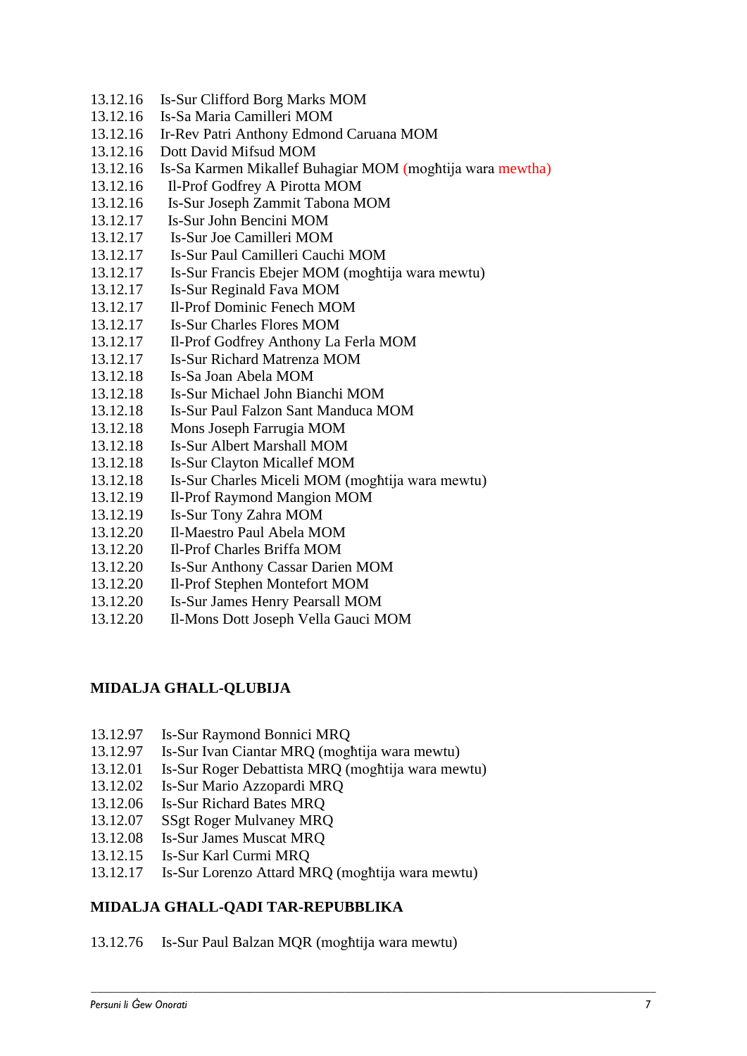- 13.12.16 Is-Sur Clifford Borg Marks MOM
- 13.12.16 Is-Sa Maria Camilleri MOM
- 13.12.16 Ir-Rev Patri Anthony Edmond Caruana MOM
- 13.12.16 Dott David Mifsud MOM
- 13.12.16 Is-Sa Karmen Mikallef Buhagiar MOM (mogħtija wara mewtha)
- 13.12.16 Il-Prof Godfrey A Pirotta MOM
- 13.12.16 Is-Sur Joseph Zammit Tabona MOM
- 13.12.17 Is-Sur John Bencini MOM
- 13.12.17 Is-Sur Joe Camilleri MOM
- 13.12.17 Is-Sur Paul Camilleri Cauchi MOM
- 13.12.17 Is-Sur Francis Ebejer MOM (mogħtija wara mewtu)
- 13.12.17 Is-Sur Reginald Fava MOM
- 13.12.17 Il-Prof Dominic Fenech MOM
- 13.12.17 Is-Sur Charles Flores MOM
- 13.12.17 Il-Prof Godfrey Anthony La Ferla MOM
- 13.12.17 Is-Sur Richard Matrenza MOM
- 13.12.18 Is-Sa Joan Abela MOM
- 13.12.18 Is-Sur Michael John Bianchi MOM
- 13.12.18 Is-Sur Paul Falzon Sant Manduca MOM
- 13.12.18 Mons Joseph Farrugia MOM
- 13.12.18 Is-Sur Albert Marshall MOM
- 13.12.18 Is-Sur Clayton Micallef MOM
- 13.12.18 Is-Sur Charles Miceli MOM (mogħtija wara mewtu)
- 13.12.19 Il-Prof Raymond Mangion MOM
- 13.12.19 Is-Sur Tony Zahra MOM
- 13.12.20 Il-Maestro Paul Abela MOM
- 13.12.20 Il-Prof Charles Briffa MOM
- 13.12.20 Is-Sur Anthony Cassar Darien MOM
- 13.12.20 Il-Prof Stephen Montefort MOM
- 13.12.20 Is-Sur James Henry Pearsall MOM
- 13.12.20 Il-Mons Dott Joseph Vella Gauci MOM

# **MIDALJA GĦALL-QLUBIJA**

- 13.12.97 Is-Sur Raymond Bonnici MRQ
- 13.12.97 Is-Sur Ivan Ciantar MRQ (mogħtija wara mewtu)
- 13.12.01 Is-Sur Roger Debattista MRQ (mogħtija wara mewtu)
- 13.12.02 Is-Sur Mario Azzopardi MRQ
- 13.12.06 Is-Sur Richard Bates MRQ
- 13.12.07 SSgt Roger Mulvaney MRQ
- 13.12.08 Is-Sur James Muscat MRQ
- 13.12.15 Is-Sur Karl Curmi MRQ
- 13.12.17 Is-Sur Lorenzo Attard MRQ (mogħtija wara mewtu)

# **MIDALJA GĦALL-QADI TAR-REPUBBLIKA**

13.12.76 Is-Sur Paul Balzan MQR (mogħtija wara mewtu)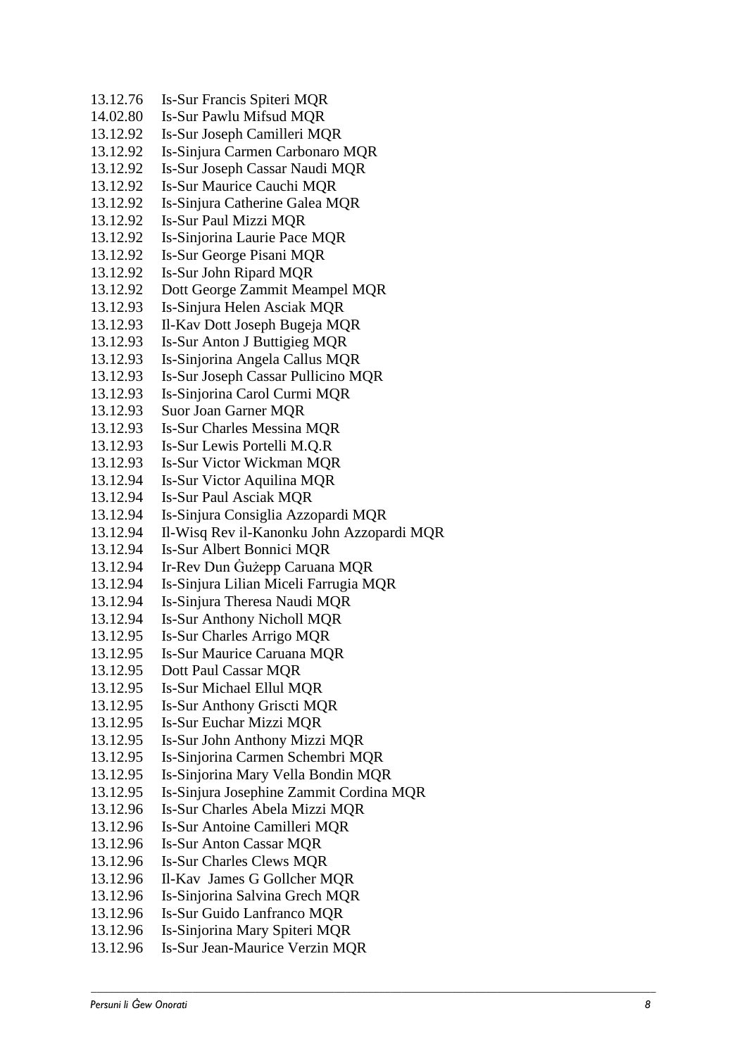$13.12.76$ -Sur Francis Spiteri MQR  $14.02.80$ -Sur Pawlu Mifsud MQR  $13.12.92$ -Sur Joseph Camilleri MQR  $13.12.92$ -Sinjura Carmen Carbonaro MQR 13.12.92 -Sur Joseph Cassar Naudi MQR 13.12.92 Is-Sur Maurice Cauchi MOR 13.12.92 -Sinjura Catherine Galea MQR 13.12.92 Is-Sur Paul Mizzi MOR 13.12.92 -Sinjorina Laurie Pace MQR 13.12.92 I s -Sur George Pisani MQR 13.12.92 Is-Sur John Ripard MQR 13.12.92 Dott George Zammit Meampel MQR 13.12.93 -Sinjura Helen Asciak MQR 13.12.93 -Kav Dot t Joseph Bugeja MQR 13.12.93 -Sur Anton J Buttigieg MQR 13.12.93 -Sinjorina Angela Callus MQR 13.12.93 -Sur Joseph Cassar Pullicino MQR 13.12.93 -Sinjorina Carol Curmi MQR 13.12.93 Suor Joan Garner MQR 13.12.93 -Sur Charles Messina MQR 13.12.93 Is-Sur Lewis Portelli M.Q.R 13.12.93 Is-Sur Victor Wickman MQR 13.12.94 Is-Sur Victor Aquilina MQR 13.12.94 Is-Sur Paul Asciak MQR 13.12.94 -Sinjura Consiglia Azzopardi MQR 13.12.94 -Wisq Rev il -Kanonku John Azzopardi MQR 13.12.94 -Sur Albert Bonnici MQR 13.12.94 -Rev Dun Ġużepp Caruana MQR 13.12.94 -Sinjura Lilian Miceli Farrugia MQR 13.12.94 -Sinjura Theresa Naudi MQR 13.12.94 Is-Sur Anthony Nicholl MQR 13.12.95 -Sur Charles Arrigo MQR 13.12.95 **Is-Sur Maurice Caruana MOR** 13.12.95 Dott Paul Cassar MQR 13.12.9 5 Is -Sur Michael Ellul MQR 13.12.95 Is-Sur Anthony Griscti MQR 13.12.95 -Sur Euchar Mizzi MQR 13.12.95 -Sur John Anthony Mizzi MQR 13.12.95 -Sinjorina Carmen Schembri MQR 13.12.95 -Sinjorina Mary Vella Bondin MQR 13.12.95 -Sinjura Josephine Zammit Cordina MQR 13.12.96 -Sur Charles Abela Mizzi MQR 13.12.96 Is-Sur Antoine Camilleri MQR 13.12.96 -Sur Anton Cassar MQR 13.12.96 -Sur Charles Clews MQR 13.12.96 -Kav James G Gollcher MQR 13.12.96 Is-Sinjorina Salvina Grech MQR 13.12.96 Is-Sur Guido Lanfranco MQR 13.12.96 -Sinjorina Mary Spiteri MQR 13.12.96 -Sur Jean -Maurice Verzin MQR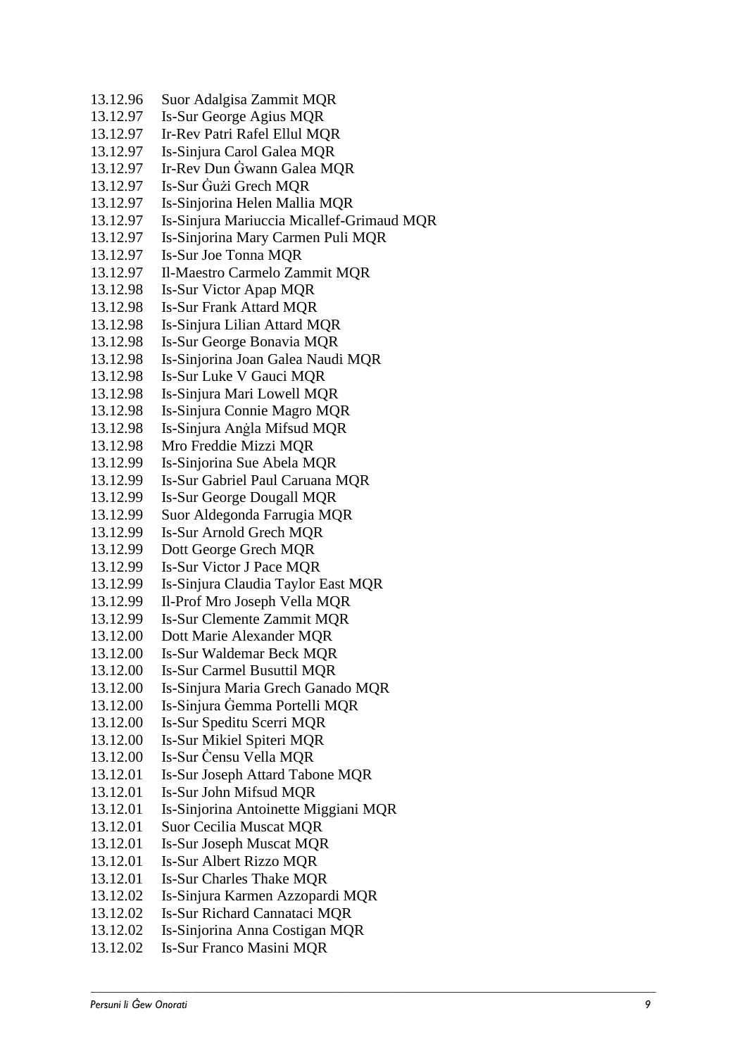13.12.96 Suor Adalgisa Zammit MQR 13.12.97 -Sur George Agius MQR 13.12.97 -Rev Patri Rafel Ellul MQR 13.12.97 -Sinjura Carol Galea MQR 13.12.97 - Rev Dun Ġwann Galea MQR 13.12.97 -Sur Ġużi Grech MQR 13.12.97 -Sinjorina Helen Mallia MQR 13.12.97 -Sinjura Mariuccia Micallef-Grimaud MQR 13.12.97 Is-Sinjorina Mary Carmen Puli MQR 13.12.97 Is-Sur Joe Tonna MOR 13.12.97 -Maestro Carmelo Zammit MQR 13.12.98 -Sur Victor Apap MQR 13.12.98 Is-Sur Frank Attard MQR 13.12.98 -Sinjura Lilian Attard MQR 13.12.98 -Sur George Bonavia MQR 13.12.98 Is-Sinjorina Joan Galea Naudi MOR 13.12.98 Is-Sur Luke V Gauci MQR 13.12.98 -Sinjura Mari Lowell MQR 13.12.98 -Sinjura Connie Magro MQR 13.12.98 -Sinjura Anġla Mifsud MQR 13.12.98 Mro Freddie Mizzi MQR 13.12.99 -Sinjorina Sue Abela MQR 13.12.99 Is-Sur Gabriel Paul Caruana MQR 13.12.99 -Sur George Dougall MQR 13.12.99 Suor Aldegonda Farrugia MQ R 13.12.99 Is-Sur Arnold Grech MOR 13.12.99 Dott George Grech MQR 13.12.99 Is-Sur Victor J Pace MOR 13.12.99 -Sinjura Claudia Taylor East MQR 13.12.99 -Prof Mro Joseph Vella MQR 13.12.99 -Sur Clemente Zammit MQR 13.12.00 Dott Marie Alexander MQR  $13.12.00$ -Sur Waldemar Beck MQR 13.12.00 -Sur Carmel Busuttil MQR 13.12.00 Is-Sinjura Maria Grech Ganado MQR 13.12.00 -Sinjura Ġemma Portelli MQR 13.12.00 -Sur Speditu Scerri MQR  $13.12.00$ Is-Sur Mikiel Spiteri MQR 13.12.00 Is-Sur Censu Vella MQR 13.12.01 Is-Sur Joseph Attard Tabone MQR 13.12.01 Is-Sur John Mifsud MOR  $13.12.01$ -Sinjorina Antoinette Miggiani MQR 13.12.01 Suor Cecilia Muscat MQR 13.12.01 -Sur Joseph Muscat MQR 13.12.01 Is-Sur Albert Rizzo MOR 13.12.01 Is-Sur Charles Thake MQR 13.12.02 -Sinjura Karmen Azzopardi MQR 13.12.02 -Sur Richard Cannataci MQR 13.12.02 -Sinjorina Anna Costigan MQR 13.12.02 Is-Sur Franco Masini MQR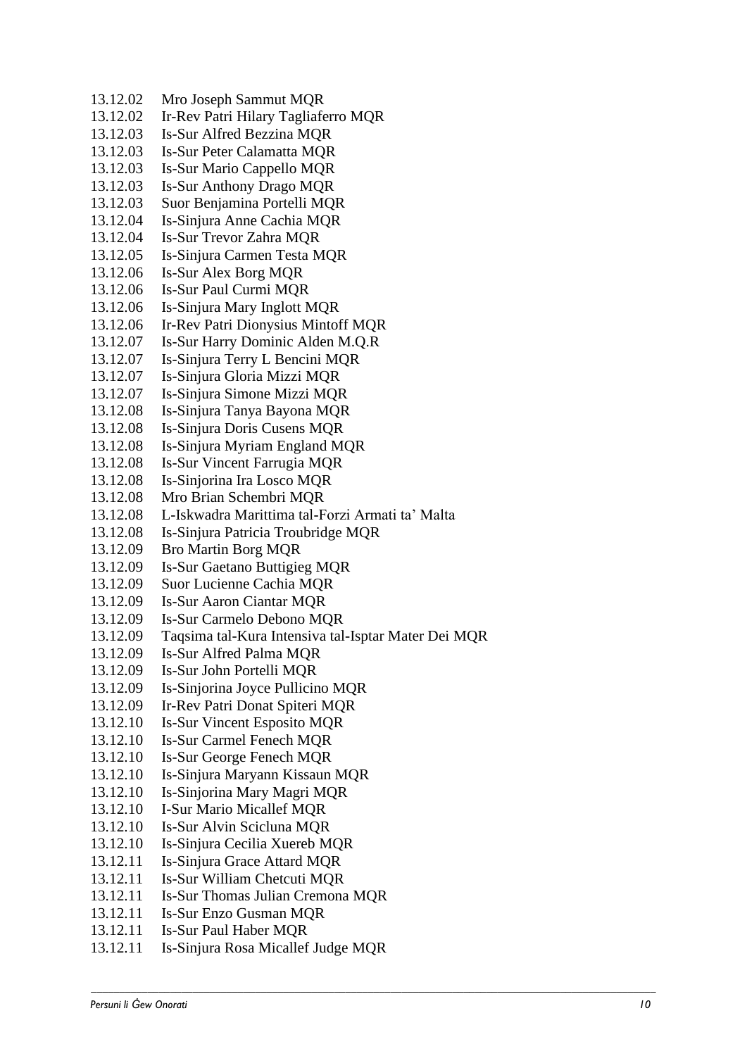13.12.02 Mro Joseph Sammut MQR 13.12.02 -Rev Patri Hilary Tagliaferro MQR  $13.12.03$ -Sur Alfred Bezzina MQR  $13.12.03$ **Is-Sur Peter Calamatta MOR** 13.12.03 Is-Sur Mario Cappello MQR 13.12.03 -Sur Anthony Drago MQR 13.12.03 Suor Benjamina Portelli MQR  $13.12.04$ - Sinjura Anne Cachia MQR 13.12.04 - Sur Trevor Zahra MQR 13.12.05 -Sinjura Carmen Testa MQR  $13.12.06$ Is-Sur Alex Borg MOR 13.12.06 Is-Sur Paul Curmi MQR  $13.12.06$ -Sinjura Mary Inglott MQR 13.12.06 -Rev Patri Dionysius Mintoff MQR 13.12.07 Is-Sur Harry Dominic Alden M.Q.R 13.12.07 -Sinjura Terry L Bencini MQR 13.12.07 -Sinjura Gloria Mizzi MQR 13.12.07 -Sinjura Simone Mizzi MQR 13.12.08 -Sinjura Tanya Bayona MQR 13.12.08 -Sinjura Doris Cusens MQR 13.12.08 -Sinjura Myriam England MQR 13.12.08 Is-Sur Vincent Farrugia MQR 13.12.08 -Sinjorina Ira Losco MQR 13.12.08 Mro Brian Schembri MQR 13.12.08 L -Iskwadra Marittima tal -Forzi Armati ta' Malta 13.12.08 -Sinjura Patricia Troubridge MQR 13.12.09 Bro Martin Borg MQR 13.12.09 Is-Sur Gaetano Buttigieg MQR 13.12.09 Suor Lucienne Cachia MQR 13.12.09 -Sur Aaron Ciantar MQR 13.12.09 Is-Sur Carmelo Debono MOR 13.12.09 Taqsima tal-Kura Intensiva tal-Isptar Mater Dei MQR 13.12.09 -Sur Alfred Palma MQR 13.12.09 -Sur John Portelli MQR 13.12.09 -Sinjorina Joyce Pullicino MQR 13.12.09 Ir-Rev Patri Donat Spiteri MQR  $13.12.10$ Is-Sur Vincent Esposito MQR  $13.12.10$ Is-Sur Carmel Fenech MOR  $13.12.10$ Is-Sur George Fenech MQR  $13.12.10$ -Sinjura Maryann Kissaun MQR  $13.12.10$ -Sinjorina Mary Magri MQR 13.12.10 I -Sur Mario Micallef MQR  $13.12.10$ Is-Sur Alvin Scicluna MOR 13.12.10 -Sinjura Cecilia Xuereb MQR  $13.12.11$ -Sinjura Grace Attard MQR 13.12.11 Is-Sur William Chetcuti MQR 13.12.11 Is-Sur Thomas Julian Cremona MQR 13.12.11 Is-Sur Enzo Gusman MOR 13.12.11 Is-Sur Paul Haber MQR 13.12.11 -Sinjura Rosa Micallef Judge MQR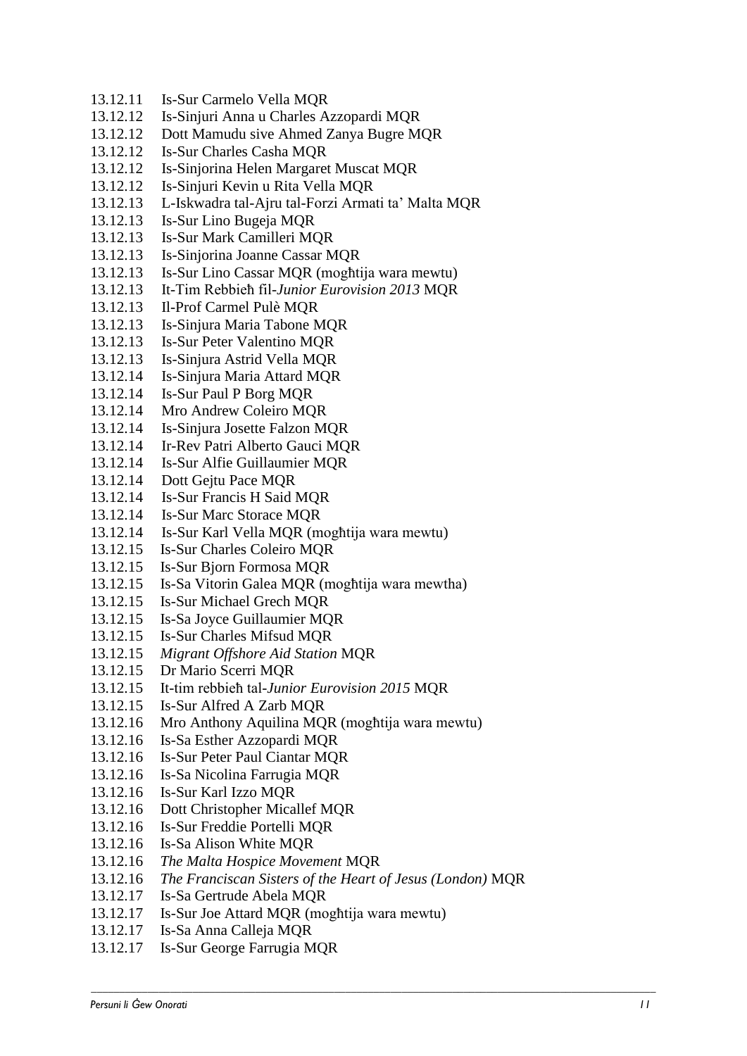- 13.12.11 Is-Sur Carmelo Vella MQR
- 13.12.12 Is-Sinjuri Anna u Charles Azzopardi MQR
- 13.12.12 Dott Mamudu sive Ahmed Zanya Bugre MQR
- 13.12.12 Is-Sur Charles Casha MQR
- 13.12.12 Is-Sinjorina Helen Margaret Muscat MQR
- 13.12.12 Is-Sinjuri Kevin u Rita Vella MQR
- 13.12.13 L-Iskwadra tal-Ajru tal-Forzi Armati ta' Malta MQR
- 13.12.13 Is-Sur Lino Bugeja MQR
- 13.12.13 Is-Sur Mark Camilleri MQR
- 13.12.13 Is-Sinjorina Joanne Cassar MQR
- 13.12.13 Is-Sur Lino Cassar MQR (mogħtija wara mewtu)
- 13.12.13 It-Tim Rebbieħ fil-*Junior Eurovision 2013* MQR
- 13.12.13 Il-Prof Carmel Pulè MQR
- 13.12.13 Is-Sinjura Maria Tabone MQR
- 13.12.13 Is-Sur Peter Valentino MQR
- 13.12.13 Is-Sinjura Astrid Vella MQR
- 13.12.14 Is-Sinjura Maria Attard MQR
- 13.12.14 Is-Sur Paul P Borg MQR
- 13.12.14 Mro Andrew Coleiro MQR
- 13.12.14 Is-Sinjura Josette Falzon MQR
- 13.12.14 Ir-Rev Patri Alberto Gauci MQR
- 13.12.14 Is-Sur Alfie Guillaumier MQR
- 13.12.14 Dott Gejtu Pace MQR
- 13.12.14 Is-Sur Francis H Said MQR
- 13.12.14 Is-Sur Marc Storace MQR
- 13.12.14 Is-Sur Karl Vella MQR (mogħtija wara mewtu)
- 13.12.15 Is-Sur Charles Coleiro MQR
- 13.12.15 Is-Sur Bjorn Formosa MQR
- 13.12.15 Is-Sa Vitorin Galea MQR (mogħtija wara mewtha)
- 13.12.15 Is-Sur Michael Grech MQR
- 13.12.15 Is-Sa Joyce Guillaumier MQR
- 13.12.15 Is-Sur Charles Mifsud MQR
- 13.12.15 *Migrant Offshore Aid Station* MQR
- 13.12.15 Dr Mario Scerri MQR
- 13.12.15 It-tim rebbieħ tal-*Junior Eurovision 2015* MQR
- 13.12.15 Is-Sur Alfred A Zarb MQR
- 13.12.16 Mro Anthony Aquilina MQR (mogħtija wara mewtu)
- 13.12.16 Is-Sa Esther Azzopardi MQR
- 13.12.16 Is-Sur Peter Paul Ciantar MQR
- 13.12.16 Is-Sa Nicolina Farrugia MQR
- 13.12.16 Is-Sur Karl Izzo MQR
- 13.12.16 Dott Christopher Micallef MQR
- 13.12.16 Is-Sur Freddie Portelli MQR
- 13.12.16 Is-Sa Alison White MQR
- 13.12.16 *The Malta Hospice Movement* MQR
- 13.12.16 *The Franciscan Sisters of the Heart of Jesus (London)* MQR

- 13.12.17 Is-Sa Gertrude Abela MQR
- 13.12.17 Is-Sur Joe Attard MQR (mogħtija wara mewtu)
- 13.12.17 Is-Sa Anna Calleja MQR
- 13.12.17 Is-Sur George Farrugia MQR